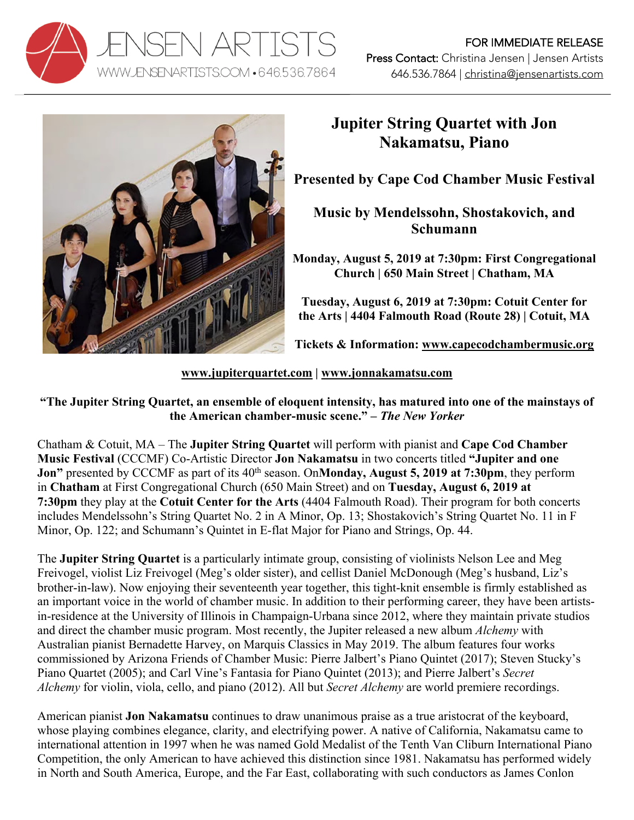



## **Jupiter String Quartet with Jon Nakamatsu, Piano**

**Presented by Cape Cod Chamber Music Festival**

**Music by Mendelssohn, Shostakovich, and Schumann**

**Monday, August 5, 2019 at 7:30pm: First Congregational Church | 650 Main Street | Chatham, MA**

**Tuesday, August 6, 2019 at 7:30pm: Cotuit Center for the Arts | 4404 Falmouth Road (Route 28) | Cotuit, MA**

**Tickets & Information: www.capecodchambermusic.org**

**www.jupiterquartet.com | www.jonnakamatsu.com**

**"The Jupiter String Quartet, an ensemble of eloquent intensity, has matured into one of the mainstays of the American chamber-music scene." –** *The New Yorker*

Chatham & Cotuit, MA – The **Jupiter String Quartet** will perform with pianist and **Cape Cod Chamber Music Festival** (CCCMF) Co-Artistic Director **Jon Nakamatsu** in two concerts titled **"Jupiter and one Jon"** presented by CCCMF as part of its 40<sup>th</sup> season. On**Monday, August 5, 2019 at 7:30pm**, they perform in **Chatham** at First Congregational Church (650 Main Street) and on **Tuesday, August 6, 2019 at 7:30pm** they play at the **Cotuit Center for the Arts** (4404 Falmouth Road). Their program for both concerts includes Mendelssohn's String Quartet No. 2 in A Minor, Op. 13; Shostakovich's String Quartet No. 11 in F Minor, Op. 122; and Schumann's Quintet in E-flat Major for Piano and Strings, Op. 44.

The **Jupiter String Quartet** is a particularly intimate group, consisting of violinists Nelson Lee and Meg Freivogel, violist Liz Freivogel (Meg's older sister), and cellist Daniel McDonough (Meg's husband, Liz's brother-in-law). Now enjoying their seventeenth year together, this tight-knit ensemble is firmly established as an important voice in the world of chamber music. In addition to their performing career, they have been artistsin-residence at the University of Illinois in Champaign-Urbana since 2012, where they maintain private studios and direct the chamber music program. Most recently, the Jupiter released a new album *Alchemy* with Australian pianist Bernadette Harvey, on Marquis Classics in May 2019. The album features four works commissioned by Arizona Friends of Chamber Music: Pierre Jalbert's Piano Quintet (2017); Steven Stucky's Piano Quartet (2005); and Carl Vine's Fantasia for Piano Quintet (2013); and Pierre Jalbert's *Secret Alchemy* for violin, viola, cello, and piano (2012). All but *Secret Alchemy* are world premiere recordings.

American pianist **Jon Nakamatsu** continues to draw unanimous praise as a true aristocrat of the keyboard, whose playing combines elegance, clarity, and electrifying power. A native of California, Nakamatsu came to international attention in 1997 when he was named Gold Medalist of the Tenth Van Cliburn International Piano Competition, the only American to have achieved this distinction since 1981. Nakamatsu has performed widely in North and South America, Europe, and the Far East, collaborating with such conductors as James Conlon